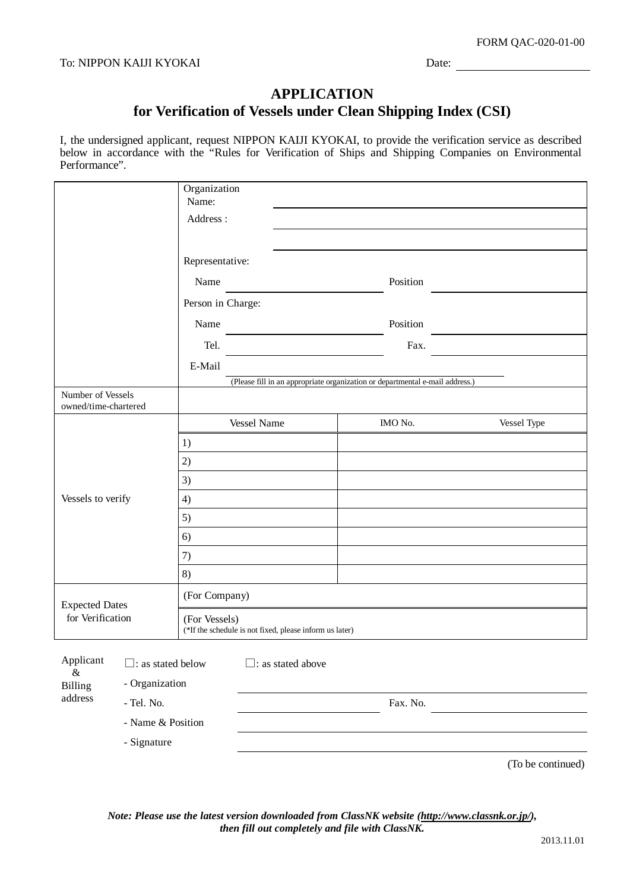## **APPLICATION for Verification of Vessels under Clean Shipping Index (CSI)**

I, the undersigned applicant, request NIPPON KAIJI KYOKAI, to provide the verification service as described below in accordance with the "Rules for Verification of Ships and Shipping Companies on Environmental Performance".

|                                           | Organization<br>Name:       |                                                                          |                                                                              |                   |  |
|-------------------------------------------|-----------------------------|--------------------------------------------------------------------------|------------------------------------------------------------------------------|-------------------|--|
|                                           | Address:                    |                                                                          |                                                                              |                   |  |
|                                           |                             |                                                                          |                                                                              |                   |  |
|                                           | Representative:             |                                                                          |                                                                              |                   |  |
|                                           | Name                        |                                                                          | Position                                                                     |                   |  |
|                                           |                             | Person in Charge:                                                        |                                                                              |                   |  |
|                                           | Name                        |                                                                          | Position                                                                     |                   |  |
|                                           | Tel.                        |                                                                          | Fax.                                                                         |                   |  |
|                                           | E-Mail                      |                                                                          |                                                                              |                   |  |
|                                           |                             |                                                                          | (Please fill in an appropriate organization or departmental e-mail address.) |                   |  |
| Number of Vessels<br>owned/time-chartered |                             |                                                                          |                                                                              |                   |  |
|                                           |                             | <b>Vessel Name</b>                                                       | IMO No.                                                                      | Vessel Type       |  |
|                                           | 1)                          |                                                                          |                                                                              |                   |  |
|                                           | 2)                          |                                                                          |                                                                              |                   |  |
|                                           | 3)                          |                                                                          |                                                                              |                   |  |
| Vessels to verify                         | 4)                          |                                                                          |                                                                              |                   |  |
|                                           | 5)                          |                                                                          |                                                                              |                   |  |
|                                           | 6)                          |                                                                          |                                                                              |                   |  |
|                                           | 7)                          |                                                                          |                                                                              |                   |  |
|                                           | 8)                          |                                                                          |                                                                              |                   |  |
| <b>Expected Dates</b>                     |                             | (For Company)                                                            |                                                                              |                   |  |
| for Verification                          |                             | (For Vessels)<br>(*If the schedule is not fixed, please inform us later) |                                                                              |                   |  |
| Applicant                                 | $\square$ : as stated below | $\Box$ : as stated above                                                 |                                                                              |                   |  |
| $\&$<br>- Organization<br>Billing         |                             |                                                                          |                                                                              |                   |  |
| address<br>- Tel. No.                     |                             | Fax. No.                                                                 |                                                                              |                   |  |
| - Name & Position                         |                             |                                                                          |                                                                              |                   |  |
| - Signature                               |                             |                                                                          |                                                                              |                   |  |
|                                           |                             |                                                                          |                                                                              | (To be continued) |  |

*Note: Please use the latest version downloaded from ClassNK website [\(http://www.classnk.or.jp/\)](http://www.classnk.or.jp/), then fill out completely and file with ClassNK.*